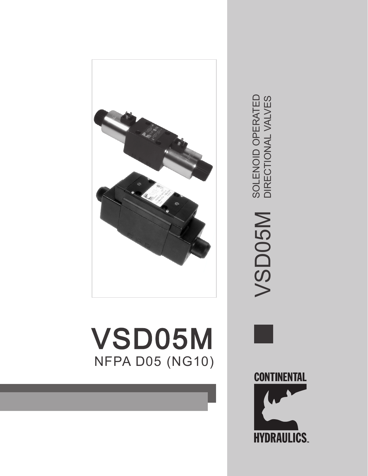

# VSD05M NFPA D05 (NG10)



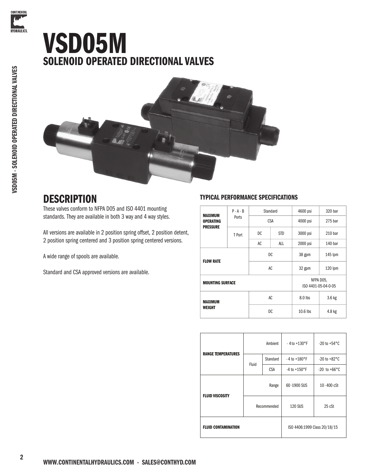



### **DESCRIPTION**

These valves conform to NFPA D05 and ISO 4401 mounting standards. They are available in both 3 way and 4 way styles.

All versions are available in 2 position spring offset, 2 position detent, 2 position spring centered and 3 position spring centered versions.

A wide range of spools are available.

Standard and CSA approved versions are available.

#### TYPICAL PERFORMANCE SPECIFICATIONS

| $P - A - B$<br>MAXIMUM              |                  |    | Standard   | 4600 psi   | 320 bar                          |
|-------------------------------------|------------------|----|------------|------------|----------------------------------|
| <b>OPERATING</b><br><b>PRESSURE</b> | Ports            |    | <b>CSA</b> | 4000 psi   | 275 bar                          |
|                                     | T Port           | DC | <b>STD</b> | 3000 psi   | 210 <sub>bar</sub>               |
|                                     |                  | AC | ALL        | 2000 psi   | 140 bar                          |
|                                     |                  |    | DC.        | 38 gpm     | 145 lpm                          |
|                                     | <b>FLOW RATE</b> |    | AC         |            | $120$ lpm                        |
| <b>MOUNTING SURFACE</b>             |                  |    |            |            | NFPA DO5,<br>ISO 4401-05-04-0-05 |
| MAXIMUM<br><b>WEIGHT</b>            |                  | AC |            | 8.0 lbs    | 3.6 kg                           |
|                                     |                  | DC |            | $10.6$ lbs | 4.8 kg                           |

|                            | Ambient     |                              | $-4t_0 + 130$ °F         | $-20$ to $+54^{\circ}$ C |  |
|----------------------------|-------------|------------------------------|--------------------------|--------------------------|--|
| <b>RANGE TEMPERATURES</b>  |             | Standard                     | $-4$ to $+180^{\circ}$ F | $-20$ to $+82^{\circ}$ C |  |
|                            | Fluid       | <b>CSA</b>                   | $-4$ to $+150$ °F        | $-20$ to $+66^{\circ}$ C |  |
|                            | Range       |                              | 60-1900 SUS              | 10-400 cSt               |  |
| <b>FLUID VISCOSITY</b>     | Recommended |                              | <b>120 SUS</b>           | 25 cSt                   |  |
| <b>FLUID CONTAMINATION</b> |             | ISO 4406:1999 Class 20/18/15 |                          |                          |  |

**CONTINENTAL** 

**HYDRAULICS.**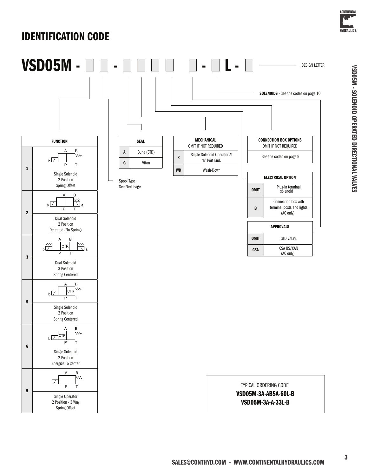

VSD05M - SOLENOID OPERATED DIRECTIONAL VALVES

VSD05M - SOLENOID OPERATED DIRECTIONAL VALVES

### IDENTIFICATION CODE

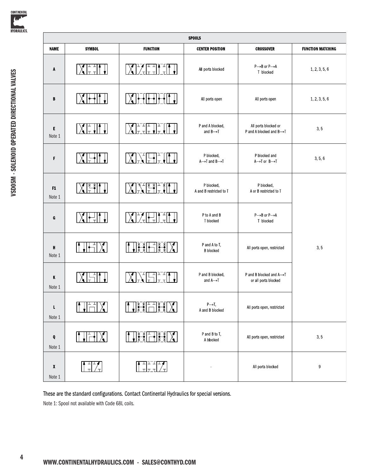

| <b>SPOOLS</b> |                    |                                                                                                                                                                                                                                                                                                                                                                                                                                                                                                                                                           |                                                       |                                                         |                          |  |  |  |  |
|---------------|--------------------|-----------------------------------------------------------------------------------------------------------------------------------------------------------------------------------------------------------------------------------------------------------------------------------------------------------------------------------------------------------------------------------------------------------------------------------------------------------------------------------------------------------------------------------------------------------|-------------------------------------------------------|---------------------------------------------------------|--------------------------|--|--|--|--|
| <b>NAME</b>   | <b>SYMBOL</b>      | <b>FUNCTION</b>                                                                                                                                                                                                                                                                                                                                                                                                                                                                                                                                           | <b>CENTER POSITION</b>                                | <b>CROSSOVER</b>                                        | <b>FUNCTION MATCHING</b> |  |  |  |  |
| A             |                    | ▔▓▊ <sup></sup> ▘▞▐▔▔▌▙▔▘▊                                                                                                                                                                                                                                                                                                                                                                                                                                                                                                                                | All ports blocked                                     | $P \rightarrow B$ or $P \rightarrow A$<br>T blocked     | 1, 2, 3, 5, 6            |  |  |  |  |
| B             |                    | $X$ $\mapsto$                                                                                                                                                                                                                                                                                                                                                                                                                                                                                                                                             | All ports open                                        | All ports open                                          |                          |  |  |  |  |
| E<br>Note 1   |                    | $\sum_{\texttt{min}}$                                                                                                                                                                                                                                                                                                                                                                                                                                                                                                                                     | P and A blocked,<br>and $B \rightarrow T$             | All ports blocked or<br>P and A blocked and B->T        | 3, 5                     |  |  |  |  |
| F             |                    | NF<br>$\prod_{\mathrm{I}}^{\mathrm{I}}$                                                                                                                                                                                                                                                                                                                                                                                                                                                                                                                   | P blocked,<br>$A \rightarrow T$ and $B \rightarrow T$ | P blocked and<br>$A \rightarrow I$ or $B \rightarrow I$ | 3, 5, 6                  |  |  |  |  |
| F1<br>Note 1  |                    | ▓▓▓░▓░▓░▓░▓░▓░▓                                                                                                                                                                                                                                                                                                                                                                                                                                                                                                                                           | P blocked,<br>A and B restricted to T                 | P blocked,<br>A or B restricted to T                    |                          |  |  |  |  |
| G             |                    | $\chi$ $\frac{1}{\sqrt{1-\frac{1}{2}}}$                                                                                                                                                                                                                                                                                                                                                                                                                                                                                                                   | P to A and B<br>T blocked                             | $P \rightarrow B$ or $P \rightarrow A$<br>T blocked     |                          |  |  |  |  |
| н<br>Note 1   |                    | ┪╬╬┝─╎╬                                                                                                                                                                                                                                                                                                                                                                                                                                                                                                                                                   | P and A to T,<br><b>B</b> blocked                     | All ports open, restricted                              | 3, 5                     |  |  |  |  |
| K<br>Note 1   |                    | XXIIII.                                                                                                                                                                                                                                                                                                                                                                                                                                                                                                                                                   | P and B blocked,<br>and $A \rightarrow I$             | P and B blocked and A-T<br>or all ports blocked         |                          |  |  |  |  |
| L<br>Note 1   | $\prod_{i=1}^{n}$  | $\begin{picture}(120,115) \put(0,0){\vector(1,0){15}} \put(15,0){\vector(1,0){15}} \put(15,0){\vector(1,0){15}} \put(15,0){\vector(1,0){15}} \put(15,0){\vector(1,0){15}} \put(15,0){\vector(1,0){15}} \put(15,0){\vector(1,0){15}} \put(15,0){\vector(1,0){15}} \put(15,0){\vector(1,0){15}} \put(15,0){\vector(1,0){15}} \put(15,0){\vector(1,0){15}} \put(15,0){\vector$                                                                                                                                                                               | $P \rightarrow T$ ,<br>A and B blocked                | All ports open, restricted                              |                          |  |  |  |  |
| Q<br>Note 1   | $\times$ 1<br>It J | $\left  \begin{array}{c} \begin{array}{c} \begin{array}{c} \end{array} \\ \begin{array}{c} \end{array} \end{array} \right  = \left  \begin{array}{c} \begin{array}{c} \end{array} \end{array} \right  = \left  \begin{array}{c} \begin{array}{c} \end{array} \end{array} \right  = \left  \begin{array}{c} \begin{array}{c} \end{array} \end{array} \right  = \left  \begin{array}{c} \begin{array}{c} \end{array} \end{array} \right  = \left  \begin{array}{c} \begin{array}{c} \end{array} \end{array} \right  = \left  \begin{array}{c} \begin{array$ | P and B to T,<br>A blocked                            | All ports open, restricted                              | 3, 5                     |  |  |  |  |
| X<br>Note 1   |                    | ▛▀▊ <sup>ℶ▔</sup> ᡃ┎ <del>▔</del><br>▁▁╷▁╷                                                                                                                                                                                                                                                                                                                                                                                                                                                                                                                |                                                       | All ports blocked                                       | $\boldsymbol{9}$         |  |  |  |  |

These are the standard configurations. Contact Continental Hydraulics for special versions. Note 1: Spool not available with Code 68L coils.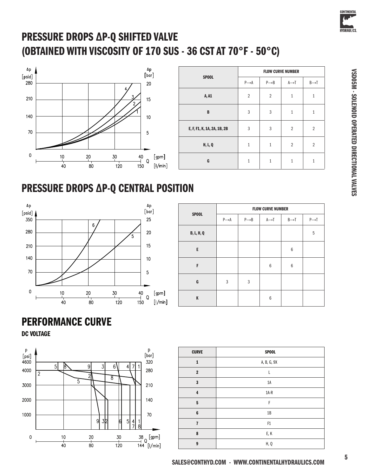

## PRESSURE DROPS ∆P-Q SHIFTED VALVE (OBTAINED WITH VISCOSITY OF 170 SUS - 36 CST AT 70°F - 50°C)



| <b>SPOOL</b>                | <b>FLOW CURVE NUMBER</b> |                   |                   |                   |  |  |  |
|-----------------------------|--------------------------|-------------------|-------------------|-------------------|--|--|--|
|                             | $P \rightarrow A$        | $P \rightarrow B$ | $A \rightarrow T$ | $B \rightarrow T$ |  |  |  |
| A, A1                       | $\overline{2}$           | $\overline{2}$    | $\mathbf{1}$      | $1\,$             |  |  |  |
| B                           | 3                        | $\mathfrak{Z}$    | $\mathbf{1}$      | $\mathbf{1}$      |  |  |  |
| E, F, F1, K, 1A, 2A, 1B, 2B | 3                        | 3                 | $\overline{2}$    | $\overline{2}$    |  |  |  |
| <b>H, L, Q</b>              | $\mathbf{1}$             | $\mathbf{1}$      | $\overline{2}$    | $\overline{2}$    |  |  |  |
| G                           | $\mathbf{1}$             | $\mathbf{1}$      | $\mathbf{1}$      | $\mathbf{1}$      |  |  |  |

## PRESSURE DROPS ∆P-Q CENTRAL POSITION



| <b>SPOOL</b>      | <b>FLOW CURVE NUMBER</b> |                   |                   |                   |                   |  |  |  |  |
|-------------------|--------------------------|-------------------|-------------------|-------------------|-------------------|--|--|--|--|
|                   | $P \rightarrow A$        | $P \rightarrow B$ | $A \rightarrow T$ | $B \rightarrow T$ | $P \rightarrow T$ |  |  |  |  |
| <b>B, L, H, Q</b> |                          |                   |                   |                   | 5                 |  |  |  |  |
| E                 |                          |                   |                   | $6\phantom{1}6$   |                   |  |  |  |  |
| F                 |                          |                   | $6\phantom{1}6$   | $6\phantom{1}6$   |                   |  |  |  |  |
| G                 | 3                        | 3                 |                   |                   |                   |  |  |  |  |
| Κ                 |                          |                   | $6\phantom{1}6$   |                   |                   |  |  |  |  |

### PERFORMANCE CURVE

DC VOLTAGE



| <b>CURVE</b>   | <b>SPOOL</b> |
|----------------|--------------|
| $\mathbf{1}$   | A, B, G, 9X  |
| $\mathbf 2$    |              |
| $\mathbf{3}$   | 1A           |
| 4              | $1A-R$       |
| 5              | F            |
| 6              | 1B           |
| $\overline{1}$ | F1           |
| 8              | E, K         |
| 9              | H, Q         |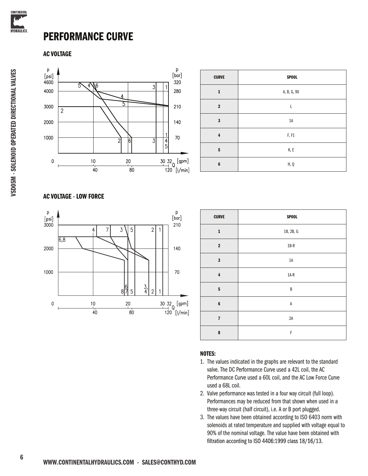

#### PERFORMANCE CURVE

#### AC VOLTAGE



| <b>CURVE</b>   | <b>SPOOL</b> |
|----------------|--------------|
| $\mathbf{1}$   | A, B, G, 9X  |
| $\overline{2}$ | L            |
| $\mathbf{3}$   | $1A$         |
| $\overline{4}$ | F, F1        |
| 5              | K, E         |
| $6\phantom{1}$ | H, Q         |

#### AC VOLTAGE - LOW FORCE



| <b>CURVE</b>            | <b>SPOOL</b>  |
|-------------------------|---------------|
| $\mathbf 1$             | 1B, 2B, G     |
| $\bf{2}$                | $1B-R$        |
| $\mathbf 3$             | $1\text{\AA}$ |
| $\overline{\mathbf{4}}$ | $1A-R$        |
| ${\bf 5}$               | B             |
| $\bf 6$                 | $\sf A$       |
| $\overline{\mathbf{r}}$ | $2A$          |
| $\pmb{8}$               | F             |

#### NOTES:

- 1. The values indicated in the graphs are relevant to the standard valve. The DC Performance Curve used a 42L coil, the AC Performance Curve used a 60L coil, and the AC Low Force Curve used a 68L coil.
- 2. Valve performance was tested in a four way circuit (full loop). Performances may be reduced from that shown when used in a three-way circuit (half circuit), i.e. A or B port plugged.
- 3. The values have been obtained according to ISO 6403 norm with solenoids at rated temperature and supplied with voltage equal to 90% of the nominal voltage. The value have been obtained with filtration according to ISO 4406:1999 class 18/16/13.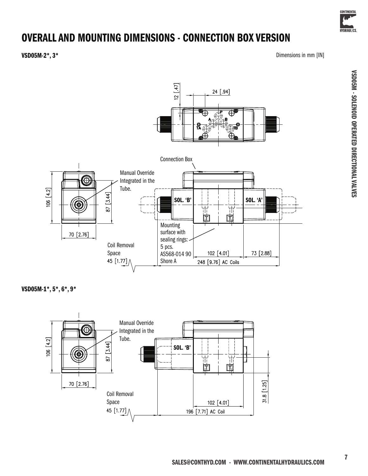

VSD05M - SOLENOID OPERATED DIRECTIONAL VALVES

VSD05M - SOLENOID OPERATED DIRECTIONAL VALVES

### OVERALL AND MOUNTING DIMENSIONS - CONNECTION BOX VERSION

VSD05M-2\*, 3\* Dimensions in mm [IN]



VSD05M-1\*, 5\*, 6\*, 9\*

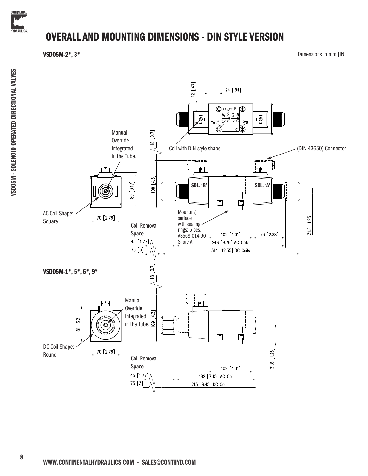

### OVERALL AND MOUNTING DIMENSIONS - DIN STYLE VERSION

VSD05M-2\*, 3\* Dimensions in mm [IN]

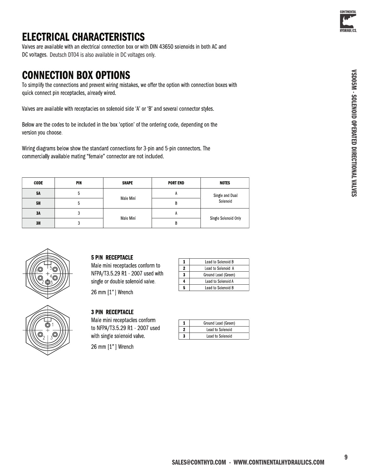

### **ELECTRICAL CHARACTERISTICS**

Valves are available with an electrical connection box or with DIN 43650 solenoids in both AC and DC voltages. Deutsch DT04 is also available in DC voltages only.

### **CONNECTION BOX OPTIONS**

To simplify the connections and prevent wiring mistakes, we offer the option with connection boxes with quick connect pin receptacles, already wired.

Valves are available with receptacles on solenoid side 'A' or 'B' and several connector styles.

Below are the codes to be included in the box 'option' of the ordering code, depending on the version you choose.

Wiring diagrams below show the standard connections for 3-pin and 5-pin connectors. The commercially available mating "female" connector are not included.

| <b>CODE</b> | PIN | <b>SHAPE</b> | <b>PORT END</b> | <b>NOTES</b>                |
|-------------|-----|--------------|-----------------|-----------------------------|
| <b>5A</b>   | ხ   | Male Mini    | A               | Single and Dual<br>Solenoid |
| <b>5H</b>   | b.  |              | В               |                             |
| 3A          |     | Male Mini    | A               |                             |
| 3H          | J   |              | В               | Single Solenoid Only        |



#### **5 PIN RECEPTACLE**

Male mini receptacles conform to NFPA/T3 5 29 R1 - 2007 used with single or double solenoid valve.

26 mm [1"] Wrench

#### **3 PIN RECEPTACLE**

26 mm [1"] Wrench

Male mini receptacles conform to NFPA/T3 5 29 R1 - 2007 used with single solenoid valve.

 $\pmb{1}$ Ground Lead (Green)  $\bf 2$ Lead to Solenoid  $\mathbf{3}$ Lead to Solenoid

Lead to Solenoid B

Lead to Solenoid A

Ground Lead (Green)

Lead to Solenoid A

Lead to Solenoid B

 $\mathbf 1$ 

 $\bf 2$ 

 $\overline{\mathbf{3}}$ 

 $\overline{4}$ 

 $\overline{\mathbf{5}}$ 

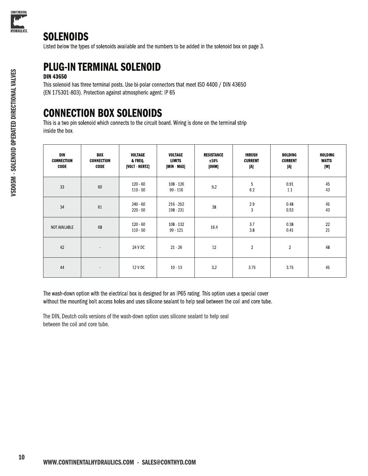

#### **SOLENOIDS**

Listed below the types of solenoids available and the numbers to be added in the solenoid box on page 3.

### **PLUG-IN TERMINAL SOLENOID**

#### **DIN 43650**

This solenoid has three terminal posts. Use bi-polar connectors that meet ISO 4400 / DIN 43650 (EN 175301-803). Protection against atmospheric agent: IP 65

### **CONNECTION BOX SOLENOIDS**

This is a two pin solenoid which connects to the circuit board. Wiring is done on the terminal strip inside the box.

| DIN<br><b>CONNECTION</b><br><b>CODE</b> | <b>BOX</b><br><b>CONNECTION</b><br><b>CODE</b> | VOLTAGE<br>& FREQ<br>[VOLT HERTZ] | VOLTAGE<br><b>LIMITS</b><br>[MIN - MAX] | <b>RESISTANCE</b><br>±10%<br>[OHM] | <b>INRUSH</b><br><b>CURRENT</b><br>[A] | HOLDING<br><b>CURRENT</b><br>[A] | HOLDING<br><b>WATTS</b><br>[W] |
|-----------------------------------------|------------------------------------------------|-----------------------------------|-----------------------------------------|------------------------------------|----------------------------------------|----------------------------------|--------------------------------|
| 33                                      | 60                                             | 120 60<br>110 50                  | $108 - 126$<br>99 - 116                 | 92                                 | 5<br>6.2                               | 0.91<br>11                       | 45<br>43                       |
| 34                                      | 61                                             | 240 60<br>220 50                  | 216 252<br>198 - 231                    | 38                                 | 29<br>3                                | 0.48<br>0.53                     | 45<br>43                       |
| NOT AVAILABLE                           | 68                                             | 120 60<br>$110 - 50$              | 108 132<br>99 - 121                     | 16.4                               | 37<br>3.8                              | 038<br>0.41                      | 22<br>21                       |
| 42                                      | $\sim$                                         | 24 V DC                           | $21 - 26$                               | 12                                 | $\overline{2}$                         | $\overline{2}$                   | 48                             |
| 44                                      | $\sim$                                         | 12 V DC                           | $10 - 13$                               | 3.2                                | 3.75                                   | 3.75                             | 45                             |

The wash-down option with the electrical box is designed for an IP65 rating. This option uses a special cover without the mounting bolt access holes and uses silicone sealant to help seal between the coil and core tube.

The DIN, Deutch coils versions of the wash-down option uses silicone sealant to help seal between the coil and core tube.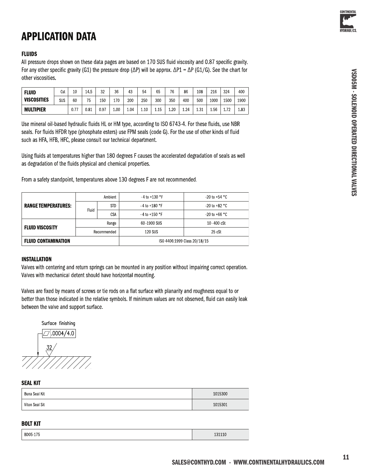

#### **FLUIDS**

All pressure drops shown on these data pages are based on 170 SUS fluid viscosity and 0.87 specific gravity. For any other specific gravity (G1) the pressure drop ( $\Delta P$ ) will be approx.  $\Delta P1 = \Delta P$  (G1/G). See the chart for other viscosities.

| <b>FLUID</b>       | Cst | 10        | 145  | 32   | 36  | 43   | 54   | 65   | 76   | 86              | 108  | 216  | 324  | 400  |
|--------------------|-----|-----------|------|------|-----|------|------|------|------|-----------------|------|------|------|------|
| <b>VISCOSITIES</b> | SUS | 60        | 75   | 150  | 170 | 200  | 250  | 300  | 350  | 400             | 500  | 1000 | 1500 | 1900 |
| MULTIPIER          |     | 77<br>ν.ι | 0.81 | 0.97 | 100 | 1 04 | 1.10 | 1.15 | 1.20 | <sub>1</sub> 24 | 1 31 | 156  | 1.72 | 183  |

Use mineral oil-based hydraulic fluids HL or HM type, according to ISO 6743-4. For these fluids, use NBR seals. For fluids HFDR type (phosphate esters) use FPM seals (code G). For the use of other kinds of fluid such as HFA, HFB, HFC, please consult our technical department.

Using fluids at temperatures higher than 180 degrees F causes the accelerated degradation of seals as well as degradation of the fluids physical and chemical properties.

From a safety standpoint, temperatures above 130 degrees F are not recommended.

|                            | Ambient     |     | $-4$ to +130 °F              | $-20$ to +54 °C         |  |
|----------------------------|-------------|-----|------------------------------|-------------------------|--|
| <b>RANGE TEMPERATURES:</b> | Fluid       | STD | $-4$ to +180 °F              | $-20$ to +82 °C         |  |
|                            |             | CSA | $-4$ to +150 °F              | -20 to +66 $^{\circ}$ C |  |
|                            | Range       |     | 60 1900 SUS                  | $10 - 400$ cSt          |  |
| <b>FLUID VISCOSITY</b>     | Recommended |     | <b>120 SUS</b>               | 25 cSt                  |  |
| <b>FLUID CONTAMINATION</b> |             |     | ISO 4406:1999 Class 20/18/15 |                         |  |

#### **INSTALLATION**

Valves with centering and return springs can be mounted in any position without impairing correct operation. Valves with mechanical detent should have horizontal mounting.

Valves are fixed by means of screws or tie rods on a flat surface with planarity and roughness equal to or better than those indicated in the relative symbols. If minimum values are not observed, fluid can easily leak between the valve and support surface.



#### **SEAL KIT**

| Buna Seal Kit  | 1015300 |
|----------------|---------|
| Viton Seal Sit | 1015301 |

#### **BOLT KIT**

| $n - 1$<br>------- |  |
|--------------------|--|